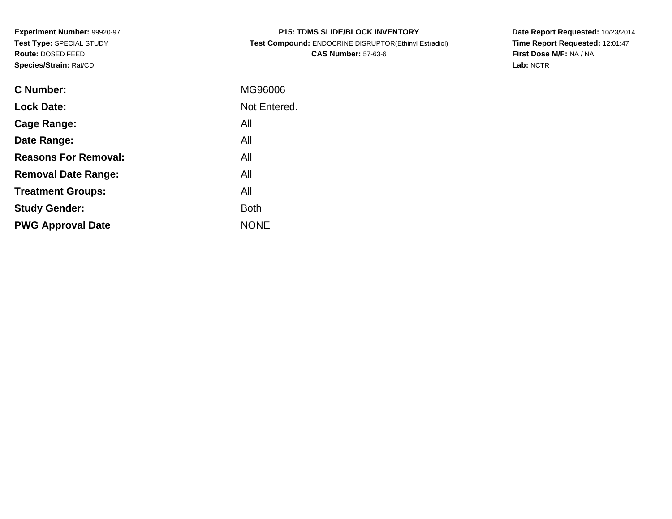**Experiment Number:** 99920-97**Test Type:** SPECIAL STUDY**Route:** DOSED FEED**Species/Strain:** Rat/CD

| <b>P15: TDMS SLIDE/BLOCK INVENTORY</b>                |
|-------------------------------------------------------|
| Test Compound: ENDOCRINE DISRUPTOR(Ethinyl Estradiol) |
| <b>CAS Number: 57-63-6</b>                            |

**Date Report Requested:** 10/23/2014 **Time Report Requested:** 12:01:47**First Dose M/F:** NA / NA**Lab:** NCTR

| C Number:                   | MG96006      |
|-----------------------------|--------------|
| <b>Lock Date:</b>           | Not Entered. |
| Cage Range:                 | All          |
| Date Range:                 | All          |
| <b>Reasons For Removal:</b> | All          |
| <b>Removal Date Range:</b>  | All          |
| <b>Treatment Groups:</b>    | All          |
| <b>Study Gender:</b>        | <b>Both</b>  |
| <b>PWG Approval Date</b>    | <b>NONE</b>  |
|                             |              |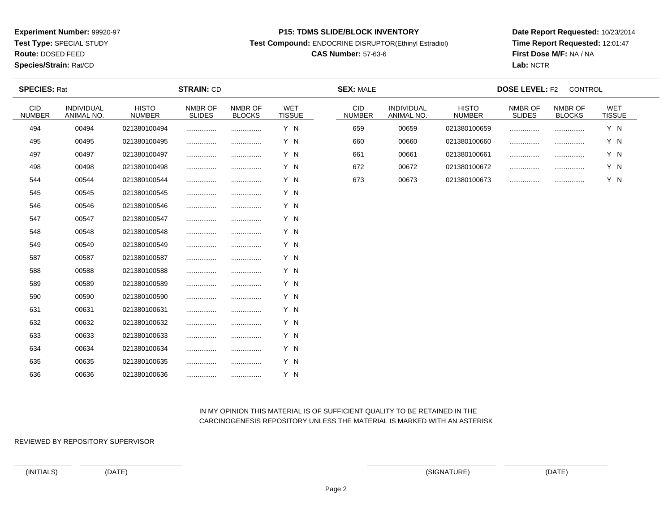**Test Type:** SPECIAL STUDY

**Route:** DOSED FEED

### **Species/Strain:** Rat/CD

#### **P15: TDMS SLIDE/BLOCK INVENTORY**

**Test Compound:** ENDOCRINE DISRUPTOR(Ethinyl Estradiol)

## **CAS Number:** 57-63-6

**Date Report Requested:** 10/23/2014**Time Report Requested:** 12:01:47**First Dose M/F:** NA / NA**Lab:** NCTR

| <b>SPECIES: Rat</b>         |                          |                               | <b>STRAIN: CD</b>        |                          |                             | <b>SEX: MALE</b>      |                          |                               | <b>DOSE LEVEL: F2</b>    | CONTROL                  |                      |  |
|-----------------------------|--------------------------|-------------------------------|--------------------------|--------------------------|-----------------------------|-----------------------|--------------------------|-------------------------------|--------------------------|--------------------------|----------------------|--|
| <b>CID</b><br><b>NUMBER</b> | INDIVIDUAL<br>ANIMAL NO. | <b>HISTO</b><br><b>NUMBER</b> | NMBR OF<br><b>SLIDES</b> | NMBR OF<br><b>BLOCKS</b> | <b>WET</b><br><b>TISSUE</b> | CID.<br><b>NUMBER</b> | INDIVIDUAL<br>ANIMAL NO. | <b>HISTO</b><br><b>NUMBER</b> | NMBR OF<br><b>SLIDES</b> | NMBR OF<br><b>BLOCKS</b> | WET<br><b>TISSUE</b> |  |
| 494                         | 00494                    | 021380100494                  |                          |                          | Y N                         | 659                   | 00659                    | 021380100659                  |                          |                          | Y N                  |  |
| 495                         | 00495                    | 021380100495                  |                          | .                        | Y N                         | 660                   | 00660                    | 021380100660                  |                          |                          | Y N                  |  |
| 497                         | 00497                    | 021380100497                  |                          |                          | Y N                         | 661                   | 00661                    | 021380100661                  |                          |                          | Y N                  |  |
| 498                         | 00498                    | 021380100498                  |                          |                          | Y N                         | 672                   | 00672                    | 021380100672                  | .                        |                          | Y N                  |  |
| 544                         | 00544                    | 021380100544                  |                          |                          | Y N                         | 673                   | 00673                    | 021380100673                  |                          |                          | Y N                  |  |
| 545                         | 00545                    | 021380100545                  |                          |                          | Y N                         |                       |                          |                               |                          |                          |                      |  |
| 546                         | 00546                    | 021380100546                  |                          |                          | Y N                         |                       |                          |                               |                          |                          |                      |  |
| 547                         | 00547                    | 021380100547                  |                          |                          | Y N                         |                       |                          |                               |                          |                          |                      |  |
| 548                         | 00548                    | 021380100548                  |                          | .                        | Y N                         |                       |                          |                               |                          |                          |                      |  |
| 549                         | 00549                    | 021380100549                  |                          |                          | Y N                         |                       |                          |                               |                          |                          |                      |  |
| 587                         | 00587                    | 021380100587                  |                          |                          | Y N                         |                       |                          |                               |                          |                          |                      |  |
| 588                         | 00588                    | 021380100588                  |                          |                          | Y N                         |                       |                          |                               |                          |                          |                      |  |
| 589                         | 00589                    | 021380100589                  |                          |                          | Y N                         |                       |                          |                               |                          |                          |                      |  |
| 590                         | 00590                    | 021380100590                  |                          |                          | Y N                         |                       |                          |                               |                          |                          |                      |  |
| 631                         | 00631                    | 021380100631                  |                          |                          | Y N                         |                       |                          |                               |                          |                          |                      |  |
| 632                         | 00632                    | 021380100632                  |                          |                          | Y N                         |                       |                          |                               |                          |                          |                      |  |
| 633                         | 00633                    | 021380100633                  |                          | .                        | Y N                         |                       |                          |                               |                          |                          |                      |  |
| 634                         | 00634                    | 021380100634                  |                          |                          | Y N                         |                       |                          |                               |                          |                          |                      |  |
| 635                         | 00635                    | 021380100635                  |                          |                          | Y N                         |                       |                          |                               |                          |                          |                      |  |
| 636                         | 00636                    | 021380100636                  |                          |                          | Y N                         |                       |                          |                               |                          |                          |                      |  |

### IN MY OPINION THIS MATERIAL IS OF SUFFICIENT QUALITY TO BE RETAINED IN THECARCINOGENESIS REPOSITORY UNLESS THE MATERIAL IS MARKED WITH AN ASTERISK

REVIEWED BY REPOSITORY SUPERVISOR

(INITIALS) (DATE) (SIGNATURE) (DATE)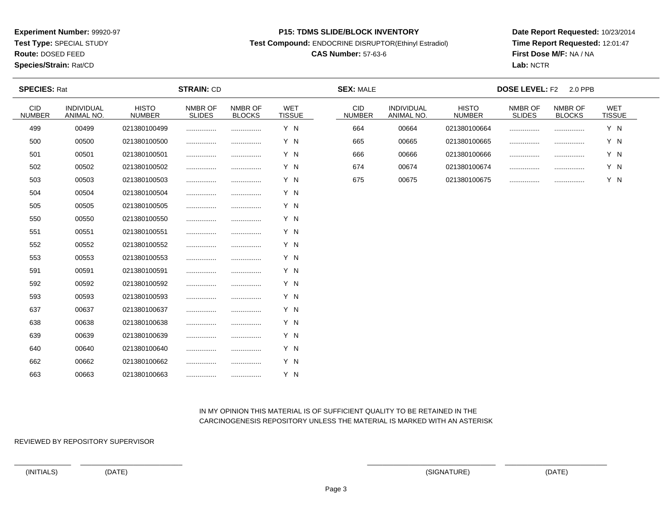**Test Type:** SPECIAL STUDY

**Route:** DOSED FEED

**Species/Strain:** Rat/CD

#### **P15: TDMS SLIDE/BLOCK INVENTORY**

**Test Compound:** ENDOCRINE DISRUPTOR(Ethinyl Estradiol)

## **CAS Number:** 57-63-6

**Date Report Requested:** 10/23/2014**Time Report Requested:** 12:01:47**First Dose M/F:** NA / NA**Lab:** NCTR

| <b>SPECIES: Rat</b>         |                          |                               | <b>STRAIN: CD</b>        |                          |                             | <b>SEX: MALE</b>            |                                 |                               | <b>DOSE LEVEL: F2</b>    | 2.0 PPB                  |               |  |
|-----------------------------|--------------------------|-------------------------------|--------------------------|--------------------------|-----------------------------|-----------------------------|---------------------------------|-------------------------------|--------------------------|--------------------------|---------------|--|
| <b>CID</b><br><b>NUMBER</b> | INDIVIDUAL<br>ANIMAL NO. | <b>HISTO</b><br><b>NUMBER</b> | NMBR OF<br><b>SLIDES</b> | NMBR OF<br><b>BLOCKS</b> | <b>WET</b><br><b>TISSUE</b> | <b>CID</b><br><b>NUMBER</b> | <b>INDIVIDUAL</b><br>ANIMAL NO. | <b>HISTO</b><br><b>NUMBER</b> | NMBR OF<br><b>SLIDES</b> | NMBR OF<br><b>BLOCKS</b> | WET<br>TISSUE |  |
| 499                         | 00499                    | 021380100499                  |                          |                          | Y N                         | 664                         | 00664                           | 021380100664                  |                          |                          | Y N           |  |
| 500                         | 00500                    | 021380100500                  |                          |                          | Y N                         | 665                         | 00665                           | 021380100665                  |                          |                          | Y N           |  |
| 501                         | 00501                    | 021380100501                  |                          |                          | Y N                         | 666                         | 00666                           | 021380100666                  |                          |                          | Y N           |  |
| 502                         | 00502                    | 021380100502                  |                          |                          | Y N                         | 674                         | 00674                           | 021380100674                  |                          |                          | Y N           |  |
| 503                         | 00503                    | 021380100503                  |                          |                          | Y N                         | 675                         | 00675                           | 021380100675                  |                          |                          | Y N           |  |
| 504                         | 00504                    | 021380100504                  |                          |                          | Y N                         |                             |                                 |                               |                          |                          |               |  |
| 505                         | 00505                    | 021380100505                  |                          |                          | Y N                         |                             |                                 |                               |                          |                          |               |  |
| 550                         | 00550                    | 021380100550                  |                          |                          | Y N                         |                             |                                 |                               |                          |                          |               |  |
| 551                         | 00551                    | 021380100551                  |                          |                          | Y N                         |                             |                                 |                               |                          |                          |               |  |
| 552                         | 00552                    | 021380100552                  |                          |                          | Y N                         |                             |                                 |                               |                          |                          |               |  |
| 553                         | 00553                    | 021380100553                  |                          |                          | Y N                         |                             |                                 |                               |                          |                          |               |  |
| 591                         | 00591                    | 021380100591                  |                          | .                        | Y N                         |                             |                                 |                               |                          |                          |               |  |
| 592                         | 00592                    | 021380100592                  |                          |                          | Y N                         |                             |                                 |                               |                          |                          |               |  |
| 593                         | 00593                    | 021380100593                  |                          |                          | Y N                         |                             |                                 |                               |                          |                          |               |  |
| 637                         | 00637                    | 021380100637                  |                          |                          | Y N                         |                             |                                 |                               |                          |                          |               |  |
| 638                         | 00638                    | 021380100638                  |                          |                          | Y N                         |                             |                                 |                               |                          |                          |               |  |
| 639                         | 00639                    | 021380100639                  |                          |                          | Y N                         |                             |                                 |                               |                          |                          |               |  |
| 640                         | 00640                    | 021380100640                  |                          |                          | Y N                         |                             |                                 |                               |                          |                          |               |  |
| 662                         | 00662                    | 021380100662                  |                          |                          | Y N                         |                             |                                 |                               |                          |                          |               |  |
| 663                         | 00663                    | 021380100663                  |                          |                          | Y N                         |                             |                                 |                               |                          |                          |               |  |

### IN MY OPINION THIS MATERIAL IS OF SUFFICIENT QUALITY TO BE RETAINED IN THECARCINOGENESIS REPOSITORY UNLESS THE MATERIAL IS MARKED WITH AN ASTERISK

REVIEWED BY REPOSITORY SUPERVISOR

(INITIALS) (DATE) (SIGNATURE) (DATE)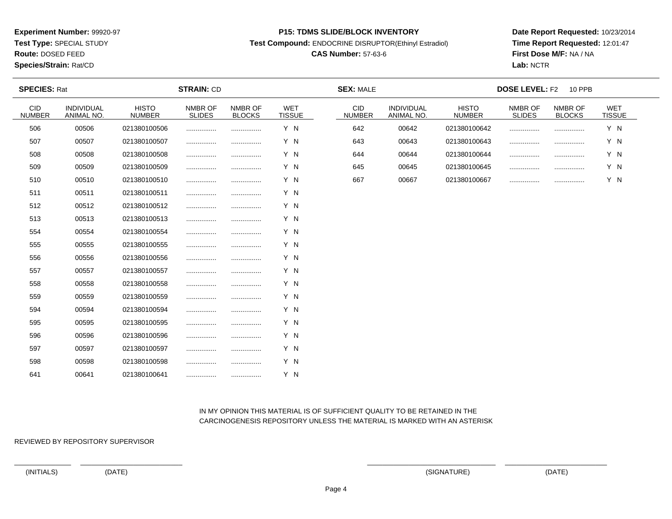**Test Type:** SPECIAL STUDY

# **Route:** DOSED FEED

**Species/Strain:** Rat/CD

#### **P15: TDMS SLIDE/BLOCK INVENTORY**

**Test Compound:** ENDOCRINE DISRUPTOR(Ethinyl Estradiol)

## **CAS Number:** 57-63-6

**Date Report Requested:** 10/23/2014**Time Report Requested:** 12:01:47**First Dose M/F:** NA / NA**Lab:** NCTR

| <b>SPECIES: Rat</b>         |                          |                               | <b>STRAIN: CD</b>        |                          |                             | <b>SEX: MALE</b>            |                                 | <b>DOSE LEVEL: F2</b><br>10 PPB |                          |                          |                             |  |
|-----------------------------|--------------------------|-------------------------------|--------------------------|--------------------------|-----------------------------|-----------------------------|---------------------------------|---------------------------------|--------------------------|--------------------------|-----------------------------|--|
| <b>CID</b><br><b>NUMBER</b> | INDIVIDUAL<br>ANIMAL NO. | <b>HISTO</b><br><b>NUMBER</b> | NMBR OF<br><b>SLIDES</b> | NMBR OF<br><b>BLOCKS</b> | <b>WET</b><br><b>TISSUE</b> | <b>CID</b><br><b>NUMBER</b> | <b>INDIVIDUAL</b><br>ANIMAL NO. | <b>HISTO</b><br><b>NUMBER</b>   | NMBR OF<br><b>SLIDES</b> | NMBR OF<br><b>BLOCKS</b> | <b>WET</b><br><b>TISSUE</b> |  |
| 506                         | 00506                    | 021380100506                  |                          |                          | Y N                         | 642                         | 00642                           | 021380100642                    |                          |                          | Y N                         |  |
| 507                         | 00507                    | 021380100507                  |                          |                          | Y N                         | 643                         | 00643                           | 021380100643                    |                          |                          | Y N                         |  |
| 508                         | 00508                    | 021380100508                  |                          |                          | Y N                         | 644                         | 00644                           | 021380100644                    |                          |                          | Y N                         |  |
| 509                         | 00509                    | 021380100509                  |                          |                          | Y N                         | 645                         | 00645                           | 021380100645                    |                          |                          | Y N                         |  |
| 510                         | 00510                    | 021380100510                  |                          |                          | Y N                         | 667                         | 00667                           | 021380100667                    |                          |                          | Y N                         |  |
| 511                         | 00511                    | 021380100511                  |                          |                          | Y N                         |                             |                                 |                                 |                          |                          |                             |  |
| 512                         | 00512                    | 021380100512                  |                          |                          | Y N                         |                             |                                 |                                 |                          |                          |                             |  |
| 513                         | 00513                    | 021380100513                  |                          |                          | Y N                         |                             |                                 |                                 |                          |                          |                             |  |
| 554                         | 00554                    | 021380100554                  |                          |                          | Y N                         |                             |                                 |                                 |                          |                          |                             |  |
| 555                         | 00555                    | 021380100555                  |                          |                          | Y N                         |                             |                                 |                                 |                          |                          |                             |  |
| 556                         | 00556                    | 021380100556                  |                          |                          | Y N                         |                             |                                 |                                 |                          |                          |                             |  |
| 557                         | 00557                    | 021380100557                  |                          |                          | Y N                         |                             |                                 |                                 |                          |                          |                             |  |
| 558                         | 00558                    | 021380100558                  |                          |                          | Y N                         |                             |                                 |                                 |                          |                          |                             |  |
| 559                         | 00559                    | 021380100559                  |                          |                          | Y N                         |                             |                                 |                                 |                          |                          |                             |  |
| 594                         | 00594                    | 021380100594                  |                          |                          | Y N                         |                             |                                 |                                 |                          |                          |                             |  |
| 595                         | 00595                    | 021380100595                  |                          |                          | Y N                         |                             |                                 |                                 |                          |                          |                             |  |
| 596                         | 00596                    | 021380100596                  |                          |                          | Y N                         |                             |                                 |                                 |                          |                          |                             |  |
| 597                         | 00597                    | 021380100597                  |                          |                          | Y N                         |                             |                                 |                                 |                          |                          |                             |  |
| 598                         | 00598                    | 021380100598                  |                          |                          | Y N                         |                             |                                 |                                 |                          |                          |                             |  |
| 641                         | 00641                    | 021380100641                  |                          | .                        | Y N                         |                             |                                 |                                 |                          |                          |                             |  |

### IN MY OPINION THIS MATERIAL IS OF SUFFICIENT QUALITY TO BE RETAINED IN THECARCINOGENESIS REPOSITORY UNLESS THE MATERIAL IS MARKED WITH AN ASTERISK

REVIEWED BY REPOSITORY SUPERVISOR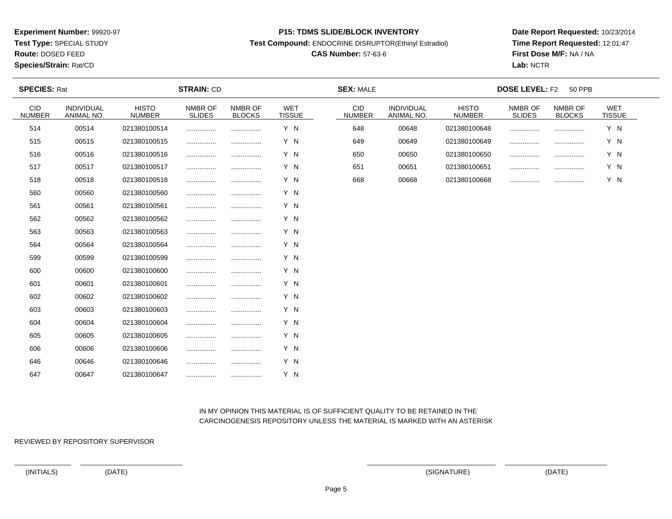**Test Type:** SPECIAL STUDY

**Route:** DOSED FEED

**Species/Strain:** Rat/CD

#### **P15: TDMS SLIDE/BLOCK INVENTORY**

**Test Compound:** ENDOCRINE DISRUPTOR(Ethinyl Estradiol)

## **CAS Number:** 57-63-6

**Date Report Requested:** 10/23/2014**Time Report Requested:** 12:01:47**First Dose M/F:** NA / NA**Lab:** NCTR

| <b>SPECIES: Rat</b>         |                                 |                               | <b>STRAIN: CD</b>        |                          |                             | <b>SEX: MALE</b>            |                                 | <b>DOSE LEVEL: F2</b><br><b>50 PPB</b> |                          |                          |                             |  |
|-----------------------------|---------------------------------|-------------------------------|--------------------------|--------------------------|-----------------------------|-----------------------------|---------------------------------|----------------------------------------|--------------------------|--------------------------|-----------------------------|--|
| <b>CID</b><br><b>NUMBER</b> | <b>INDIVIDUAL</b><br>ANIMAL NO. | <b>HISTO</b><br><b>NUMBER</b> | NMBR OF<br><b>SLIDES</b> | NMBR OF<br><b>BLOCKS</b> | <b>WET</b><br><b>TISSUE</b> | <b>CID</b><br><b>NUMBER</b> | <b>INDIVIDUAL</b><br>ANIMAL NO. | <b>HISTO</b><br><b>NUMBER</b>          | NMBR OF<br><b>SLIDES</b> | NMBR OF<br><b>BLOCKS</b> | <b>WET</b><br><b>TISSUE</b> |  |
| 514                         | 00514                           | 021380100514                  |                          |                          | Y N                         | 648                         | 00648                           | 021380100648                           |                          |                          | Y N                         |  |
| 515                         | 00515                           | 021380100515                  |                          |                          | Y N                         | 649                         | 00649                           | 021380100649                           |                          | .                        | Y N                         |  |
| 516                         | 00516                           | 021380100516                  | .                        |                          | Y N                         | 650                         | 00650                           | 021380100650                           |                          | .                        | Y N                         |  |
| 517                         | 00517                           | 021380100517                  |                          |                          | Y N                         | 651                         | 00651                           | 021380100651                           |                          |                          | Y N                         |  |
| 518                         | 00518                           | 021380100518                  |                          |                          | Y N                         | 668                         | 00668                           | 021380100668                           |                          | .                        | Y N                         |  |
| 560                         | 00560                           | 021380100560                  |                          |                          | Y N                         |                             |                                 |                                        |                          |                          |                             |  |
| 561                         | 00561                           | 021380100561                  |                          |                          | Y N                         |                             |                                 |                                        |                          |                          |                             |  |
| 562                         | 00562                           | 021380100562                  |                          |                          | Y N                         |                             |                                 |                                        |                          |                          |                             |  |
| 563                         | 00563                           | 021380100563                  |                          |                          | Y N                         |                             |                                 |                                        |                          |                          |                             |  |
| 564                         | 00564                           | 021380100564                  |                          |                          | Y N                         |                             |                                 |                                        |                          |                          |                             |  |
| 599                         | 00599                           | 021380100599                  |                          |                          | Y N                         |                             |                                 |                                        |                          |                          |                             |  |
| 600                         | 00600                           | 021380100600                  |                          |                          | Y N                         |                             |                                 |                                        |                          |                          |                             |  |
| 601                         | 00601                           | 021380100601                  |                          |                          | Y N                         |                             |                                 |                                        |                          |                          |                             |  |
| 602                         | 00602                           | 021380100602                  |                          |                          | Y N                         |                             |                                 |                                        |                          |                          |                             |  |
| 603                         | 00603                           | 021380100603                  |                          |                          | Y N                         |                             |                                 |                                        |                          |                          |                             |  |
| 604                         | 00604                           | 021380100604                  |                          |                          | Y N                         |                             |                                 |                                        |                          |                          |                             |  |
| 605                         | 00605                           | 021380100605                  |                          |                          | Y N                         |                             |                                 |                                        |                          |                          |                             |  |
| 606                         | 00606                           | 021380100606                  | .                        |                          | Y N                         |                             |                                 |                                        |                          |                          |                             |  |
| 646                         | 00646                           | 021380100646                  |                          |                          | Y N                         |                             |                                 |                                        |                          |                          |                             |  |
| 647                         | 00647                           | 021380100647                  |                          |                          | Y N                         |                             |                                 |                                        |                          |                          |                             |  |

### IN MY OPINION THIS MATERIAL IS OF SUFFICIENT QUALITY TO BE RETAINED IN THECARCINOGENESIS REPOSITORY UNLESS THE MATERIAL IS MARKED WITH AN ASTERISK

REVIEWED BY REPOSITORY SUPERVISOR

(INITIALS) (DATE) (SIGNATURE) (DATE)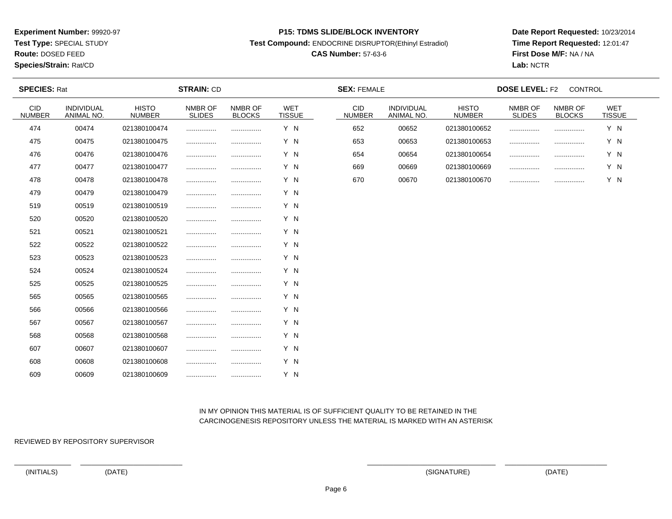**Test Type:** SPECIAL STUDY

**Route:** DOSED FEED

**Species/Strain:** Rat/CD

#### **P15: TDMS SLIDE/BLOCK INVENTORY**

**Test Compound:** ENDOCRINE DISRUPTOR(Ethinyl Estradiol)

## **CAS Number:** 57-63-6

**Date Report Requested:** 10/23/2014**Time Report Requested:** 12:01:47**First Dose M/F:** NA / NA**Lab:** NCTR

| <b>SPECIES: Rat</b>         |                          | <b>STRAIN: CD</b>             |                          |                          | <b>SEX: FEMALE</b>   |                             | <b>DOSE LEVEL: F2</b><br>CONTROL |                               |                          |                          |                      |  |
|-----------------------------|--------------------------|-------------------------------|--------------------------|--------------------------|----------------------|-----------------------------|----------------------------------|-------------------------------|--------------------------|--------------------------|----------------------|--|
| <b>CID</b><br><b>NUMBER</b> | INDIVIDUAL<br>ANIMAL NO. | <b>HISTO</b><br><b>NUMBER</b> | NMBR OF<br><b>SLIDES</b> | NMBR OF<br><b>BLOCKS</b> | WET<br><b>TISSUE</b> | <b>CID</b><br><b>NUMBER</b> | INDIVIDUAL<br>ANIMAL NO.         | <b>HISTO</b><br><b>NUMBER</b> | NMBR OF<br><b>SLIDES</b> | NMBR OF<br><b>BLOCKS</b> | WET<br><b>TISSUE</b> |  |
| 474                         | 00474                    | 021380100474                  |                          |                          | Y N                  | 652                         | 00652                            | 021380100652                  |                          |                          | Y N                  |  |
| 475                         | 00475                    | 021380100475                  |                          |                          | Y N                  | 653                         | 00653                            | 021380100653                  |                          | .                        | Y N                  |  |
| 476                         | 00476                    | 021380100476                  |                          |                          | Y N                  | 654                         | 00654                            | 021380100654                  |                          | .                        | Y N                  |  |
| 477                         | 00477                    | 021380100477                  |                          |                          | Y N                  | 669                         | 00669                            | 021380100669                  |                          |                          | Y N                  |  |
| 478                         | 00478                    | 021380100478                  |                          |                          | Y N                  | 670                         | 00670                            | 021380100670                  |                          |                          | Y N                  |  |
| 479                         | 00479                    | 021380100479                  |                          |                          | Y N                  |                             |                                  |                               |                          |                          |                      |  |
| 519                         | 00519                    | 021380100519                  |                          |                          | Y N                  |                             |                                  |                               |                          |                          |                      |  |
| 520                         | 00520                    | 021380100520                  |                          |                          | Y N                  |                             |                                  |                               |                          |                          |                      |  |
| 521                         | 00521                    | 021380100521                  |                          |                          | Y N                  |                             |                                  |                               |                          |                          |                      |  |
| 522                         | 00522                    | 021380100522                  |                          |                          | Y N                  |                             |                                  |                               |                          |                          |                      |  |
| 523                         | 00523                    | 021380100523                  |                          |                          | Y N                  |                             |                                  |                               |                          |                          |                      |  |
| 524                         | 00524                    | 021380100524                  |                          |                          | Y N                  |                             |                                  |                               |                          |                          |                      |  |
| 525                         | 00525                    | 021380100525                  |                          | .                        | Y N                  |                             |                                  |                               |                          |                          |                      |  |
| 565                         | 00565                    | 021380100565                  |                          |                          | Y N                  |                             |                                  |                               |                          |                          |                      |  |
| 566                         | 00566                    | 021380100566                  |                          |                          | Y N                  |                             |                                  |                               |                          |                          |                      |  |
| 567                         | 00567                    | 021380100567                  |                          |                          | Y N                  |                             |                                  |                               |                          |                          |                      |  |
| 568                         | 00568                    | 021380100568                  |                          | .                        | Y N                  |                             |                                  |                               |                          |                          |                      |  |
| 607                         | 00607                    | 021380100607                  |                          |                          | Y N                  |                             |                                  |                               |                          |                          |                      |  |
| 608                         | 00608                    | 021380100608                  |                          |                          | Y N                  |                             |                                  |                               |                          |                          |                      |  |
| 609                         | 00609                    | 021380100609                  |                          | .                        | Y N                  |                             |                                  |                               |                          |                          |                      |  |

### IN MY OPINION THIS MATERIAL IS OF SUFFICIENT QUALITY TO BE RETAINED IN THECARCINOGENESIS REPOSITORY UNLESS THE MATERIAL IS MARKED WITH AN ASTERISK

REVIEWED BY REPOSITORY SUPERVISOR

(INITIALS) (DATE) (SIGNATURE) (DATE)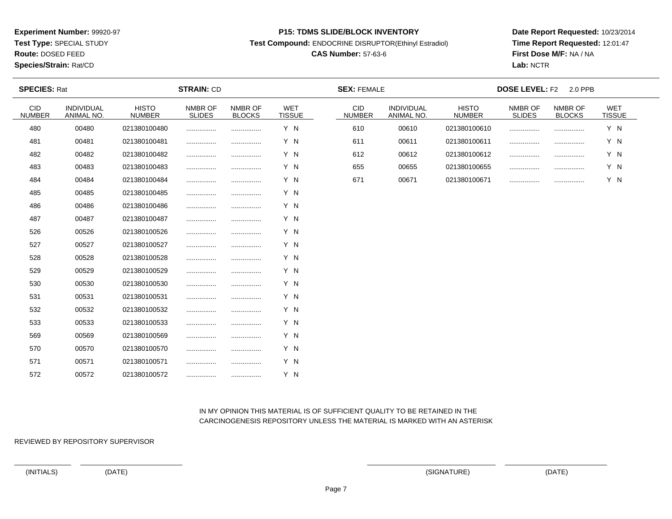**Test Type:** SPECIAL STUDY

# **Route:** DOSED FEED

**Species/Strain:** Rat/CD

#### **P15: TDMS SLIDE/BLOCK INVENTORY**

**Test Compound:** ENDOCRINE DISRUPTOR(Ethinyl Estradiol)

## **CAS Number:** 57-63-6

**Date Report Requested:** 10/23/2014**Time Report Requested:** 12:01:47**First Dose M/F:** NA / NA**Lab:** NCTR

| <b>SPECIES: Rat</b>         |                          |                               | <b>STRAIN: CD</b> |                          |                             | <b>SEX: FEMALE</b>          |                          |                               | <b>DOSE LEVEL: F2</b>    | 2.0 PPB                  |                      |  |
|-----------------------------|--------------------------|-------------------------------|-------------------|--------------------------|-----------------------------|-----------------------------|--------------------------|-------------------------------|--------------------------|--------------------------|----------------------|--|
| <b>CID</b><br><b>NUMBER</b> | INDIVIDUAL<br>ANIMAL NO. | <b>HISTO</b><br><b>NUMBER</b> | NMBR OF<br>SLIDES | NMBR OF<br><b>BLOCKS</b> | <b>WET</b><br><b>TISSUE</b> | <b>CID</b><br><b>NUMBER</b> | INDIVIDUAL<br>ANIMAL NO. | <b>HISTO</b><br><b>NUMBER</b> | NMBR OF<br><b>SLIDES</b> | NMBR OF<br><b>BLOCKS</b> | WET<br><b>TISSUE</b> |  |
| 480                         | 00480                    | 021380100480                  |                   |                          | Y N                         | 610                         | 00610                    | 021380100610                  |                          |                          | Y N                  |  |
| 481                         | 00481                    | 021380100481                  |                   |                          | Y N                         | 611                         | 00611                    | 021380100611                  | .                        |                          | Y N                  |  |
| 482                         | 00482                    | 021380100482                  |                   |                          | Y N                         | 612                         | 00612                    | 021380100612                  |                          |                          | Y N                  |  |
| 483                         | 00483                    | 021380100483                  |                   |                          | Y N                         | 655                         | 00655                    | 021380100655                  | .                        |                          | Y N                  |  |
| 484                         | 00484                    | 021380100484                  |                   |                          | Y N                         | 671                         | 00671                    | 021380100671                  |                          |                          | Y N                  |  |
| 485                         | 00485                    | 021380100485                  |                   |                          | Y N                         |                             |                          |                               |                          |                          |                      |  |
| 486                         | 00486                    | 021380100486                  |                   |                          | Y N                         |                             |                          |                               |                          |                          |                      |  |
| 487                         | 00487                    | 021380100487                  |                   |                          | Y N                         |                             |                          |                               |                          |                          |                      |  |
| 526                         | 00526                    | 021380100526                  |                   |                          | Y N                         |                             |                          |                               |                          |                          |                      |  |
| 527                         | 00527                    | 021380100527                  |                   |                          | Y N                         |                             |                          |                               |                          |                          |                      |  |
| 528                         | 00528                    | 021380100528                  |                   |                          | Y N                         |                             |                          |                               |                          |                          |                      |  |
| 529                         | 00529                    | 021380100529                  |                   |                          | Y N                         |                             |                          |                               |                          |                          |                      |  |
| 530                         | 00530                    | 021380100530                  |                   |                          | Y N                         |                             |                          |                               |                          |                          |                      |  |
| 531                         | 00531                    | 021380100531                  |                   |                          | Y N                         |                             |                          |                               |                          |                          |                      |  |
| 532                         | 00532                    | 021380100532                  |                   |                          | Y N                         |                             |                          |                               |                          |                          |                      |  |
| 533                         | 00533                    | 021380100533                  |                   |                          | Y N                         |                             |                          |                               |                          |                          |                      |  |
| 569                         | 00569                    | 021380100569                  |                   |                          | Y N                         |                             |                          |                               |                          |                          |                      |  |
| 570                         | 00570                    | 021380100570                  |                   |                          | Y N                         |                             |                          |                               |                          |                          |                      |  |
| 571                         | 00571                    | 021380100571                  |                   |                          | Y N                         |                             |                          |                               |                          |                          |                      |  |
| 572                         | 00572                    | 021380100572                  |                   |                          | Y N                         |                             |                          |                               |                          |                          |                      |  |

### IN MY OPINION THIS MATERIAL IS OF SUFFICIENT QUALITY TO BE RETAINED IN THECARCINOGENESIS REPOSITORY UNLESS THE MATERIAL IS MARKED WITH AN ASTERISK

REVIEWED BY REPOSITORY SUPERVISOR

(INITIALS) (DATE) (SIGNATURE) (DATE)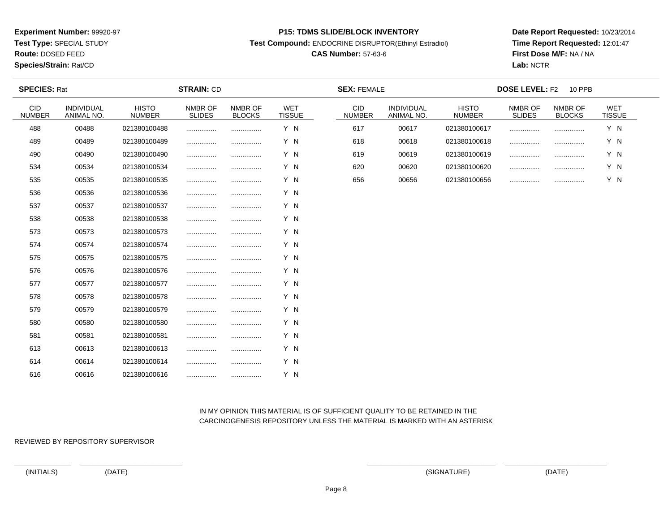**Test Type:** SPECIAL STUDY

**Route:** DOSED FEED

### **Species/Strain:** Rat/CD

#### **P15: TDMS SLIDE/BLOCK INVENTORY**

**Test Compound:** ENDOCRINE DISRUPTOR(Ethinyl Estradiol)

## **CAS Number:** 57-63-6

**Date Report Requested:** 10/23/2014**Time Report Requested:** 12:01:47**First Dose M/F:** NA / NA**Lab:** NCTR

| <b>SPECIES: Rat</b>         |                                 |                               | <b>STRAIN: CD</b>        |                          |                      | <b>SEX: FEMALE</b>          |                                 |                               | <b>DOSE LEVEL: F2</b>    | <b>10 PPB</b>            |                             |  |
|-----------------------------|---------------------------------|-------------------------------|--------------------------|--------------------------|----------------------|-----------------------------|---------------------------------|-------------------------------|--------------------------|--------------------------|-----------------------------|--|
| <b>CID</b><br><b>NUMBER</b> | <b>INDIVIDUAL</b><br>ANIMAL NO. | <b>HISTO</b><br><b>NUMBER</b> | NMBR OF<br><b>SLIDES</b> | NMBR OF<br><b>BLOCKS</b> | WET<br><b>TISSUE</b> | <b>CID</b><br><b>NUMBER</b> | <b>INDIVIDUAL</b><br>ANIMAL NO. | <b>HISTO</b><br><b>NUMBER</b> | NMBR OF<br><b>SLIDES</b> | NMBR OF<br><b>BLOCKS</b> | <b>WET</b><br><b>TISSUE</b> |  |
| 488                         | 00488                           | 021380100488                  |                          |                          | Y N                  | 617                         | 00617                           | 021380100617                  |                          |                          | Y N                         |  |
| 489                         | 00489                           | 021380100489                  |                          |                          | Y N                  | 618                         | 00618                           | 021380100618                  | .                        |                          | Y N                         |  |
| 490                         | 00490                           | 021380100490                  |                          |                          | Y N                  | 619                         | 00619                           | 021380100619                  | .                        |                          | Y N                         |  |
| 534                         | 00534                           | 021380100534                  |                          |                          | Y N                  | 620                         | 00620                           | 021380100620                  |                          |                          | Y N                         |  |
| 535                         | 00535                           | 021380100535                  |                          |                          | Y N                  | 656                         | 00656                           | 021380100656                  |                          |                          | Y N                         |  |
| 536                         | 00536                           | 021380100536                  |                          |                          | Y N                  |                             |                                 |                               |                          |                          |                             |  |
| 537                         | 00537                           | 021380100537                  |                          |                          | Y N                  |                             |                                 |                               |                          |                          |                             |  |
| 538                         | 00538                           | 021380100538                  |                          |                          | Y N                  |                             |                                 |                               |                          |                          |                             |  |
| 573                         | 00573                           | 021380100573                  |                          |                          | Y N                  |                             |                                 |                               |                          |                          |                             |  |
| 574                         | 00574                           | 021380100574                  |                          |                          | Y N                  |                             |                                 |                               |                          |                          |                             |  |
| 575                         | 00575                           | 021380100575                  |                          |                          | Y N                  |                             |                                 |                               |                          |                          |                             |  |
| 576                         | 00576                           | 021380100576                  |                          |                          | Y N                  |                             |                                 |                               |                          |                          |                             |  |
| 577                         | 00577                           | 021380100577                  |                          |                          | Y N                  |                             |                                 |                               |                          |                          |                             |  |
| 578                         | 00578                           | 021380100578                  |                          |                          | Y N                  |                             |                                 |                               |                          |                          |                             |  |
| 579                         | 00579                           | 021380100579                  |                          |                          | Y N                  |                             |                                 |                               |                          |                          |                             |  |
| 580                         | 00580                           | 021380100580                  |                          |                          | Y N                  |                             |                                 |                               |                          |                          |                             |  |
| 581                         | 00581                           | 021380100581                  |                          |                          | Y N                  |                             |                                 |                               |                          |                          |                             |  |
| 613                         | 00613                           | 021380100613                  |                          |                          | Y N                  |                             |                                 |                               |                          |                          |                             |  |
| 614                         | 00614                           | 021380100614                  |                          |                          | Y N                  |                             |                                 |                               |                          |                          |                             |  |
| 616                         | 00616                           | 021380100616                  |                          |                          | Y N                  |                             |                                 |                               |                          |                          |                             |  |

### IN MY OPINION THIS MATERIAL IS OF SUFFICIENT QUALITY TO BE RETAINED IN THECARCINOGENESIS REPOSITORY UNLESS THE MATERIAL IS MARKED WITH AN ASTERISK

REVIEWED BY REPOSITORY SUPERVISOR